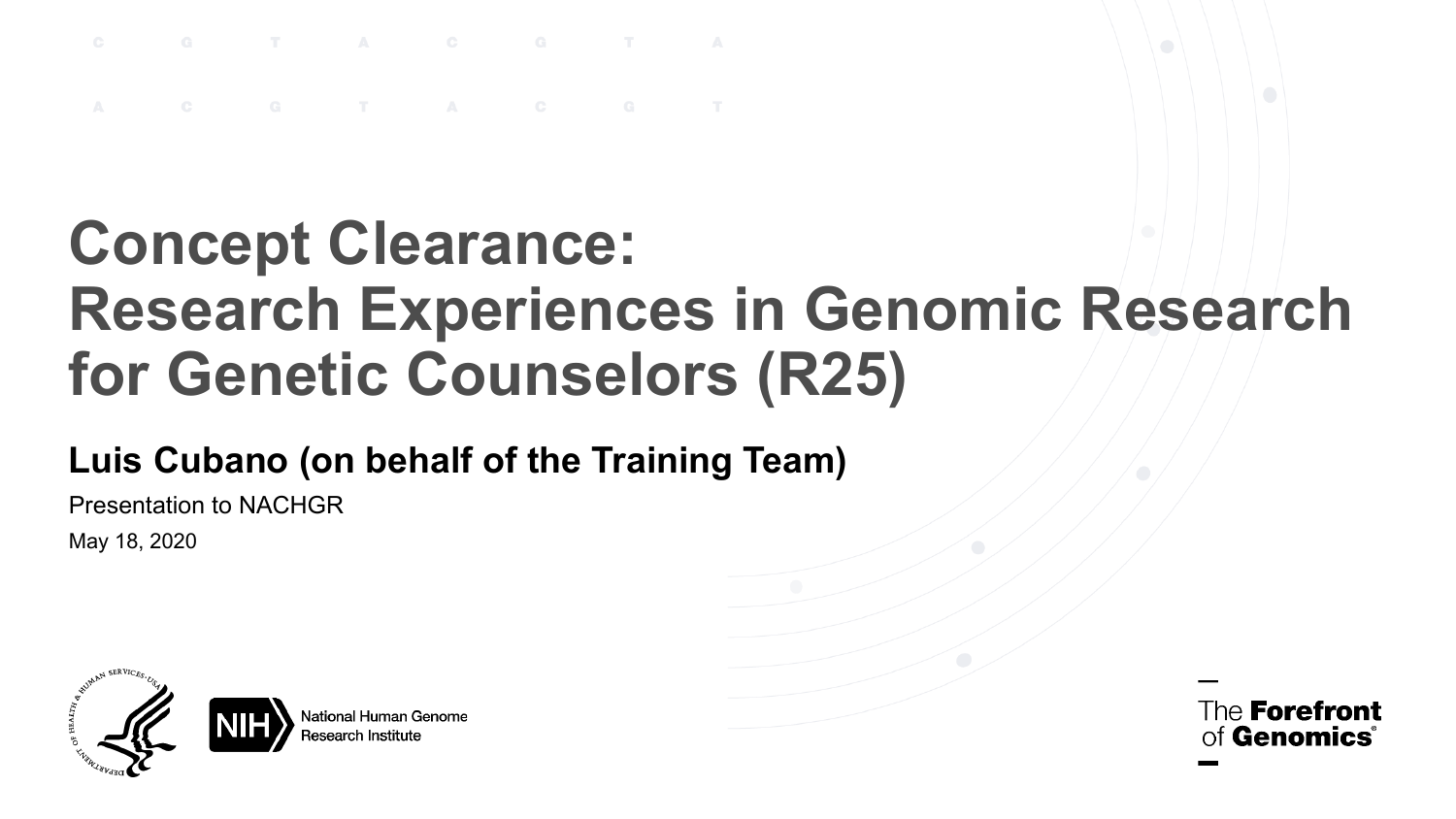#### **Concept Clearance: Research Experiences in Genomic Research for Genetic Counselors (R25)**

#### **Luis Cubano (on behalf of the Training Team)**

Presentation to NACHGR

May 18, 2020



The **Forefront Genomics**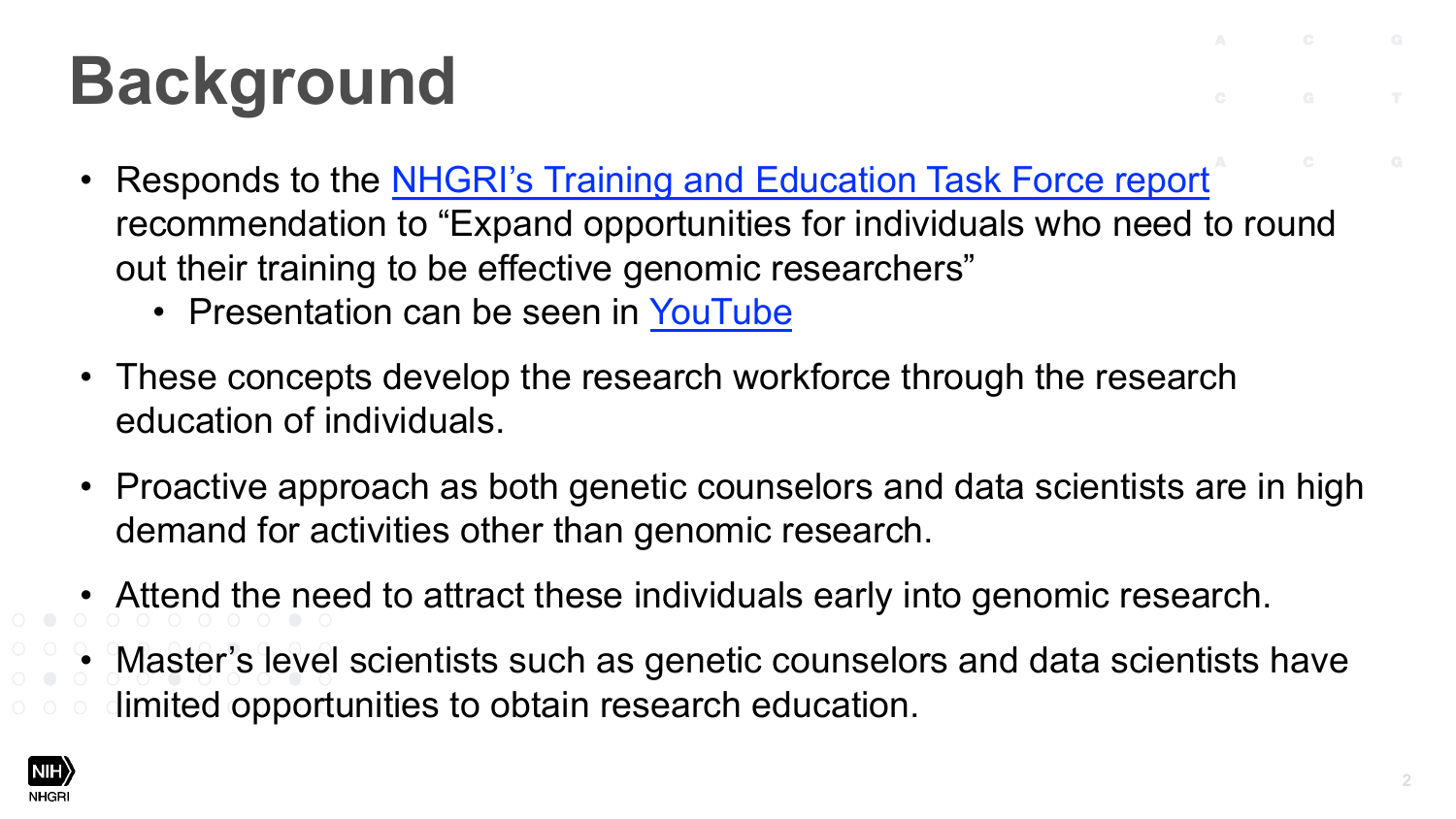# **Background**

- Responds to the NHGRI's Training and Education recommendation to "Expand opportunities for indiv out their training to be effective genomic researchers
	- Presentation can be seen in YouTube
- These concepts develop the research workforce th education of individuals.
- Proactive approach as both genetic counselors and demand for activities other than genomic research.
- Attend the need to attract these individuals early in
- Master's level scientists such as genetic counselor limited opportunities to obtain research education.

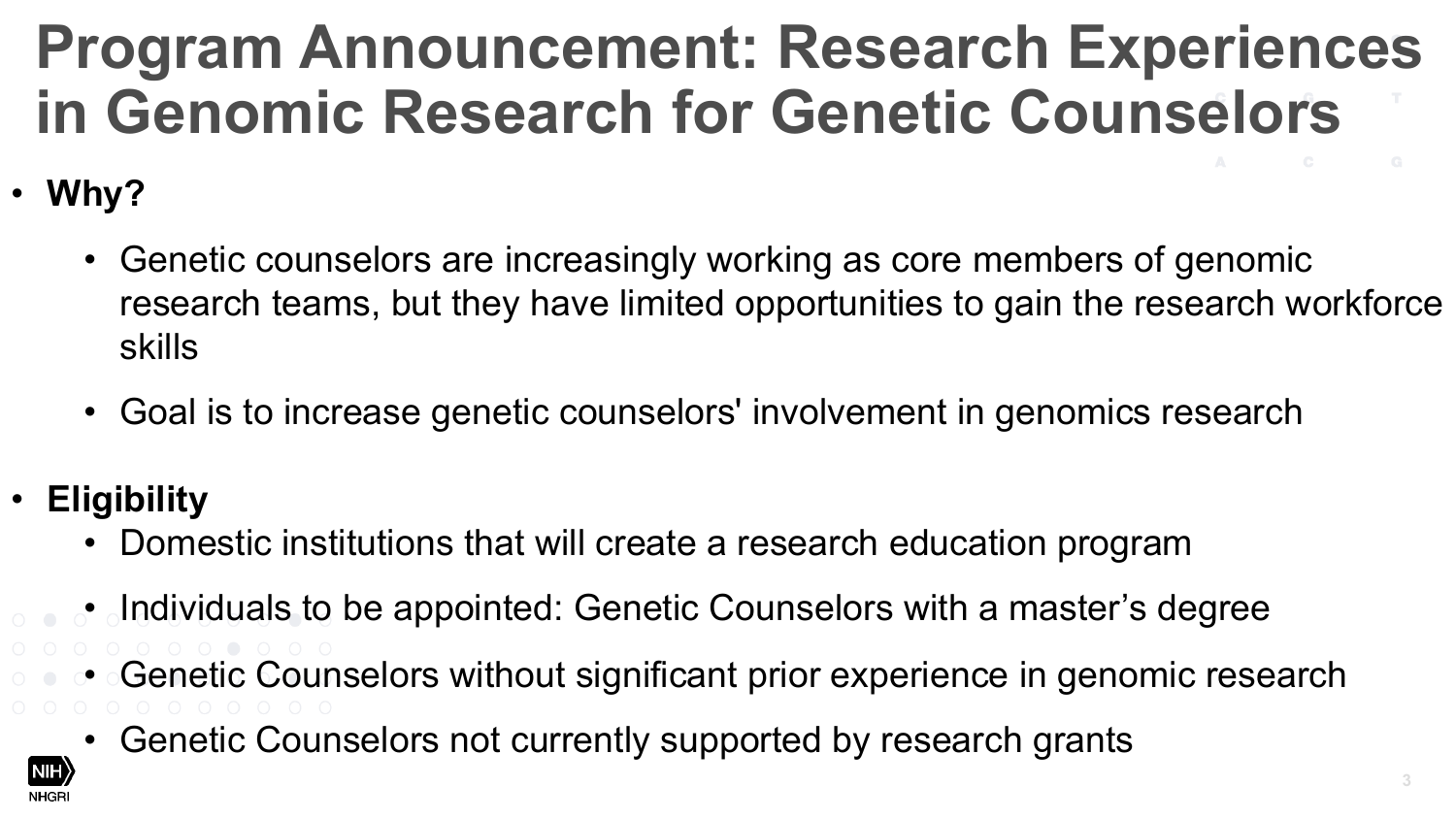### **Program Announcement: Research Experiences in Genomic Research for Genetic Counselors**

- **Why?**
	- Genetic counselors are increasingly working as core members of genomic research teams, but they have limited opportunities to gain the research workforce skills
	- Goal is to increase genetic counselors' involvement in genomics research
- **Eligibility**
	- Domestic institutions that will create a research education program
	- Individuals to be appointed: Genetic Counselors with a master's degree
	- Genetic Counselors without significant prior experience in genomic research
		- Genetic Counselors not currently supported by research grants

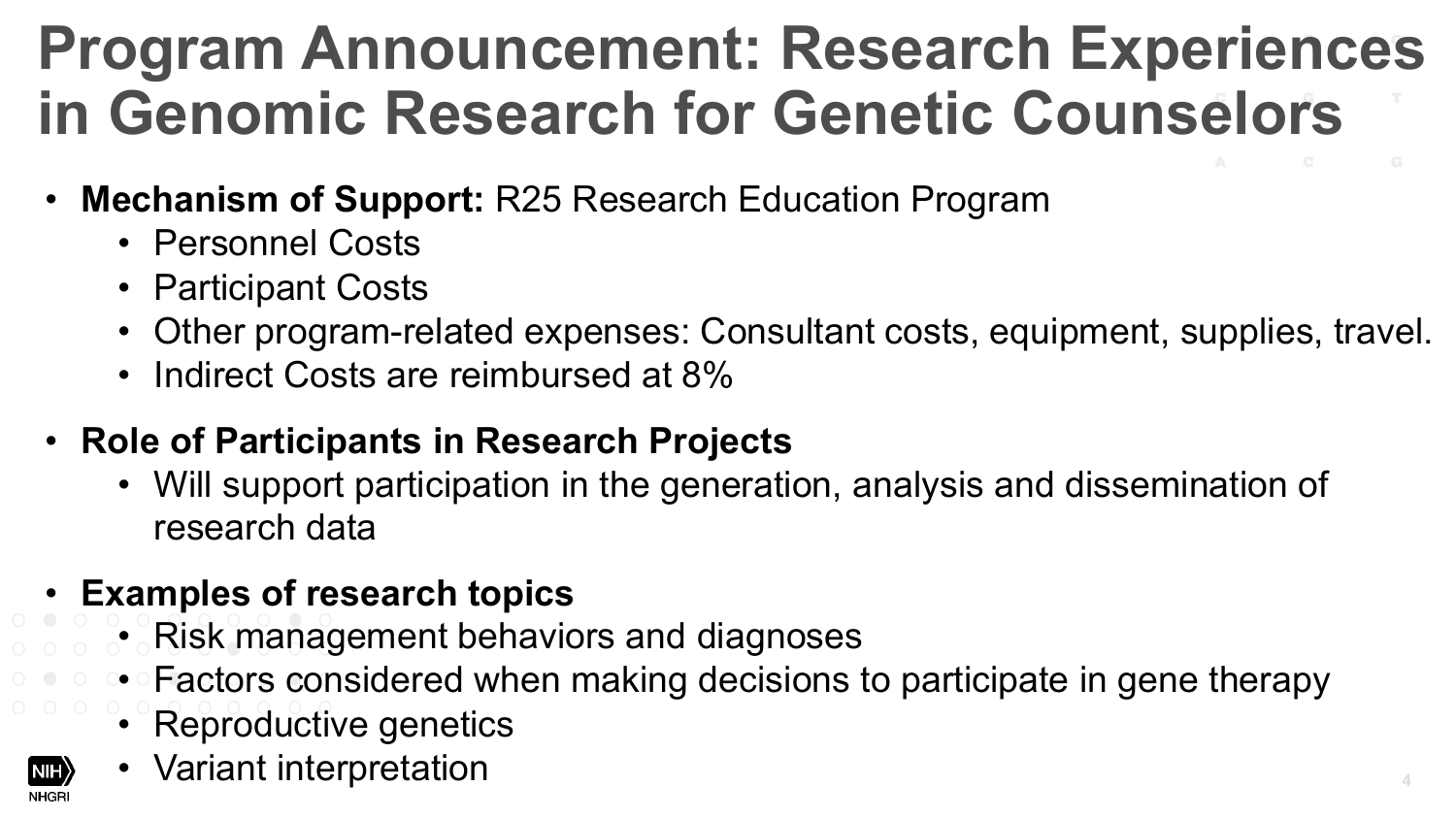#### **Program Announcement: Research Experiences in Genomic Research for Genetic Counselors**

- **Mechanism of Support:** R25 Research Education Program
	- Personnel Costs
	- Participant Costs
	- Other program-related expenses: Consultant costs, equipment, supplies, travel.
	- Indirect Costs are reimbursed at 8%
- **Role of Participants in Research Projects**
	- Will support participation in the generation, analysis and dissemination of research data
- **Examples of research topics**
	- Risk management behaviors and diagnoses
	- Factors considered when making decisions to participate in gene therapy
	- Reproductive genetics
	- Variant interpretation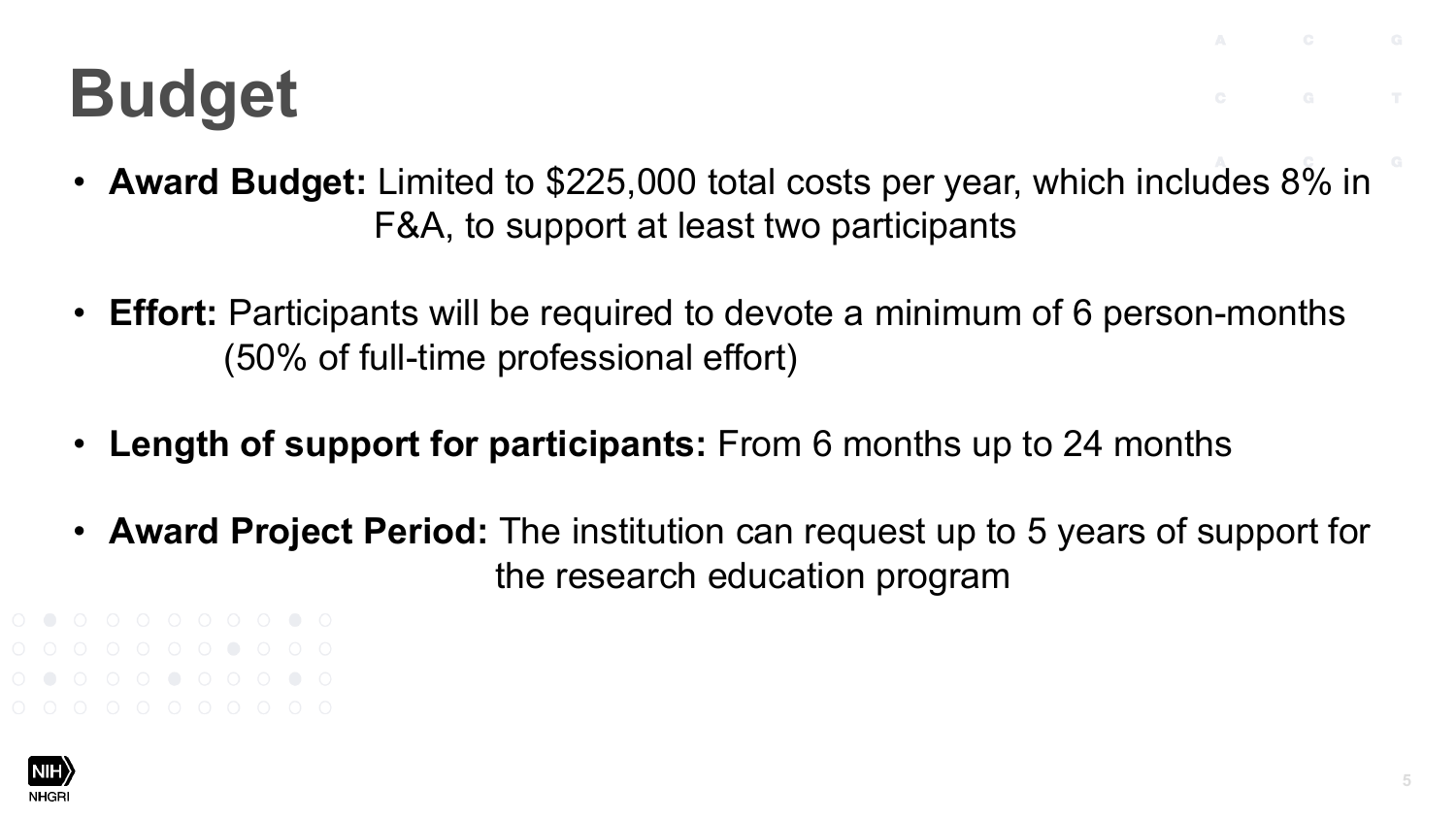## **Budget**

- **Award Budget:** Limited to \$225,000 total costs per year, which includes 8% in F&A, to support at least two participants
- **Effort:** Participants will be required to devote a minimum of 6 person-months (50% of full-time professional effort)
- **Length of support for participants:** From 6 months up to 24 months
- **Award Project Period:** The institution can request up to 5 years of support for the research education program